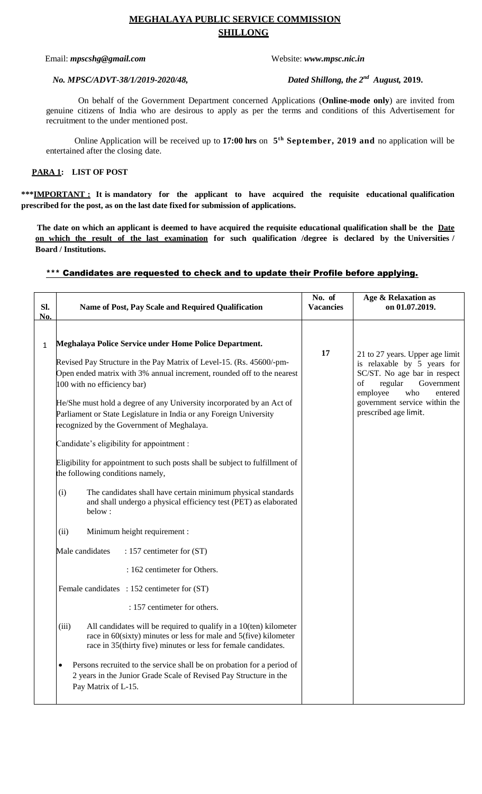# **MEGHALAYA PUBLIC SERVICE COMMISSION SHILLONG**

### Email: *mpscshg@gmail.com* Website: *www.mpsc.nic.in*

#### *No. MPSC/ADVT-38/1/2019-2020/48,*

Dated Shillong, the 2<sup>nd</sup> August, 2019.

On behalf of the Government Department concerned Applications (**Online-mode only**) are invited from genuine citizens of India who are desirous to apply as per the terms and conditions of this Advertisement for recruitment to the under mentioned post.

Online Application will be received up to **17:00 hrs** on **5 th September, 2019 and** no application will be entertained after the closing date.

### **PARA 1: LIST OF POST**

**\*\*\*IMPORTANT : It is mandatory for the applicant to have acquired the requisite educational qualification prescribed for the post, as on the last date fixed for submission of applications.**

**The date on which an applicant is deemed to have acquired the requisite educational qualification shall be the Date on which the result of the last examination for such qualification /degree is declared by the Universities / Board / Institutions.**

## \*\*\* Candidates are requested to check and to update their Profile before applying.

| SI.<br>No.   | Name of Post, Pay Scale and Required Qualification                                                                                                                                                                                                                                                                                                                                                                                                                                                                                                                                                                                                                                                                                               | No. of<br><b>Vacancies</b> | Age & Relaxation as<br>on 01.07.2019.                                                                                                                                                                                 |
|--------------|--------------------------------------------------------------------------------------------------------------------------------------------------------------------------------------------------------------------------------------------------------------------------------------------------------------------------------------------------------------------------------------------------------------------------------------------------------------------------------------------------------------------------------------------------------------------------------------------------------------------------------------------------------------------------------------------------------------------------------------------------|----------------------------|-----------------------------------------------------------------------------------------------------------------------------------------------------------------------------------------------------------------------|
| $\mathbf{1}$ | Meghalaya Police Service under Home Police Department.<br>Revised Pay Structure in the Pay Matrix of Level-15. (Rs. 45600/-pm-<br>Open ended matrix with 3% annual increment, rounded off to the nearest<br>100 with no efficiency bar)<br>He/She must hold a degree of any University incorporated by an Act of<br>Parliament or State Legislature in India or any Foreign University<br>recognized by the Government of Meghalaya.<br>Candidate's eligibility for appointment :<br>Eligibility for appointment to such posts shall be subject to fulfillment of<br>the following conditions namely,<br>(i)<br>The candidates shall have certain minimum physical standards<br>and shall undergo a physical efficiency test (PET) as elaborated | 17                         | 21 to 27 years. Upper age limit<br>is relaxable by 5 years for<br>SC/ST. No age bar in respect<br>regular<br>Government<br>of<br>employee<br>who<br>entered<br>government service within the<br>prescribed age limit. |
|              | below:<br>Minimum height requirement :<br>(ii)<br>Male candidates<br>: 157 centimeter for (ST)                                                                                                                                                                                                                                                                                                                                                                                                                                                                                                                                                                                                                                                   |                            |                                                                                                                                                                                                                       |
|              | : 162 centimeter for Others.<br>Female candidates : 152 centimeter for (ST)<br>: 157 centimeter for others.<br>(iii)<br>All candidates will be required to qualify in a 10(ten) kilometer<br>race in $60$ (sixty) minutes or less for male and $5$ (five) kilometer<br>race in 35(thirty five) minutes or less for female candidates.<br>Persons recruited to the service shall be on probation for a period of<br>$\bullet$<br>2 years in the Junior Grade Scale of Revised Pay Structure in the<br>Pay Matrix of L-15.                                                                                                                                                                                                                         |                            |                                                                                                                                                                                                                       |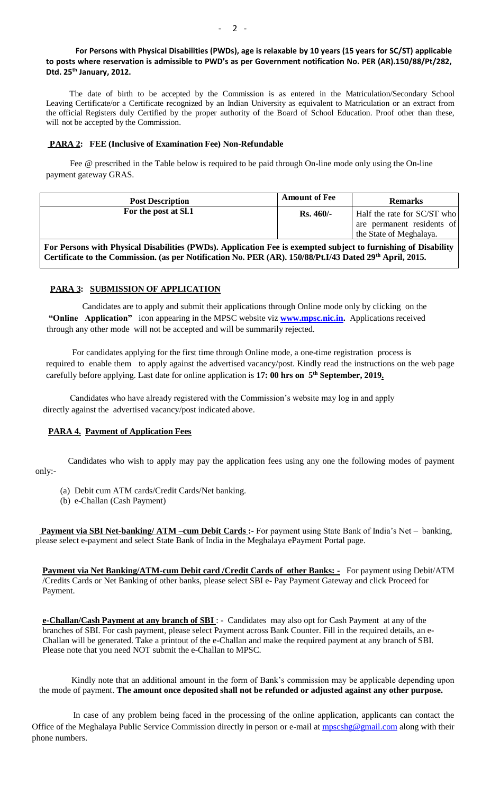### **For Persons with Physical Disabilities (PWDs), age is relaxable by 10 years (15 years for SC/ST) applicable to posts where reservation is admissible to PWD's as per Government notification No. PER (AR).150/88/Pt/282, Dtd. 25th January, 2012.**

 The date of birth to be accepted by the Commission is as entered in the Matriculation/Secondary School Leaving Certificate/or a Certificate recognized by an Indian University as equivalent to Matriculation or an extract from the official Registers duly Certified by the proper authority of the Board of School Education. Proof other than these, will not be accepted by the Commission.

#### **PARA 2: FEE (Inclusive of Examination Fee) Non-Refundable**

 Fee @ prescribed in the Table below is required to be paid through On-line mode only using the On-line payment gateway GRAS.

| <b>Post Description</b>                                                                                               | <b>Amount of Fee</b> | <b>Remarks</b>              |  |  |  |
|-----------------------------------------------------------------------------------------------------------------------|----------------------|-----------------------------|--|--|--|
| For the post at Sl.1                                                                                                  | $Rs.460/-$           | Half the rate for SC/ST who |  |  |  |
|                                                                                                                       |                      | are permanent residents of  |  |  |  |
|                                                                                                                       |                      | the State of Meghalaya.     |  |  |  |
| For Persons with Physical Disabilities (PWDs). Application Fee is exempted subject to furnishing of Disability        |                      |                             |  |  |  |
| Certificate to the Commission. (as per Notification No. PER (AR). 150/88/Pt. I/43 Dated 29 <sup>th</sup> April, 2015. |                      |                             |  |  |  |

#### **PARA 3: SUBMISSION OF APPLICATION**

 Candidates are to apply and submit their applications through Online mode only by clicking on the **"Online Application"** icon appearing in the MPSC website viz **[www.mpsc.nic.in.](http://www.mpsc.nic.in/)** Applications received through any other mode will not be accepted and will be summarily rejected.

 For candidates applying for the first time through Online mode, a one-time registration process is required to enable them to apply against the advertised vacancy/post. Kindly read the instructions on the web page carefully before applying. Last date for online application is **17: 00 hrs on 5 th September, 2019.**

 Candidates who have already registered with the Commission's website may log in and apply directly against the advertised vacancy/post indicated above.

### **PARA 4. Payment of Application Fees**

 Candidates who wish to apply may pay the application fees using any one the following modes of payment only:-

- (a) Debit cum ATM cards/Credit Cards/Net banking.
- (b) e-Challan (Cash Payment)

**Payment via SBI Net-banking/ ATM –cum Debit Cards :-** For payment using State Bank of India's Net – banking, please select e-payment and select State Bank of India in the Meghalaya ePayment Portal page.

**Payment via Net Banking/ATM-cum Debit card /Credit Cards of other Banks: -** For payment using Debit/ATM /Credits Cards or Net Banking of other banks, please select SBI e- Pay Payment Gateway and click Proceed for Payment.

**e-Challan/Cash Payment at any branch of SBI** : - Candidates may also opt for Cash Payment at any of the branches of SBI. For cash payment, please select Payment across Bank Counter. Fill in the required details, an e-Challan will be generated. Take a printout of the e-Challan and make the required payment at any branch of SBI. Please note that you need NOT submit the e-Challan to MPSC.

Kindly note that an additional amount in the form of Bank's commission may be applicable depending upon the mode of payment. **The amount once deposited shall not be refunded or adjusted against any other purpose.**

 In case of any problem being faced in the processing of the online application, applicants can contact the Office of the Meghalaya Public Service Commission directly in person or e-mail at **mpscshg@gmail.com** along with their phone numbers.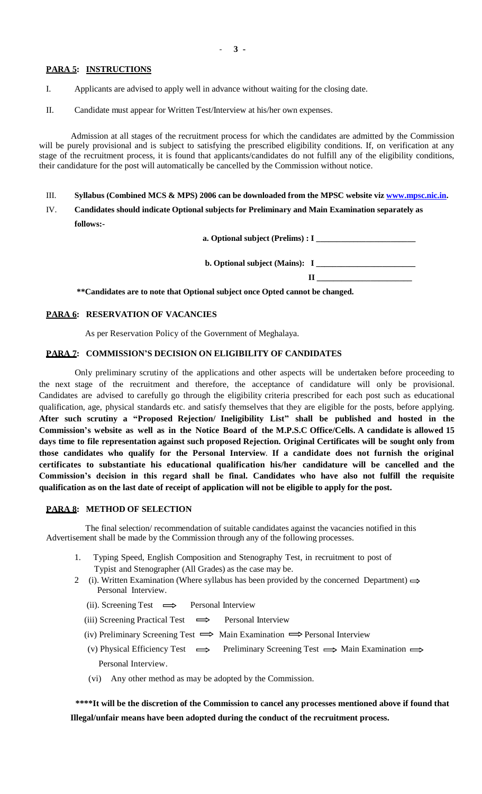### **PARA 5: INSTRUCTIONS**

- I. Applicants are advised to apply well in advance without waiting for the closing date.
- II. Candidate must appear for Written Test/Interview at his/her own expenses.

 Admission at all stages of the recruitment process for which the candidates are admitted by the Commission will be purely provisional and is subject to satisfying the prescribed eligibility conditions. If, on verification at any stage of the recruitment process, it is found that applicants/candidates do not fulfill any of the eligibility conditions, their candidature for the post will automatically be cancelled by the Commission without notice.

- III. **Syllabus (Combined MCS & MPS) 2006 can be downloaded from the MPSC website vi[z www.mpsc.nic.in.](http://www.mpsc.nic.in/)**
- IV. **Candidates should indicate Optional subjects for Preliminary and Main Examination separately as follows:-**

 **a. Optional subject (Prelims) : I \_\_\_\_\_\_\_\_\_\_\_\_\_\_\_\_\_\_\_\_\_\_\_\_**

 **b. Optional subject (Mains): I \_\_\_\_\_\_\_\_\_\_\_\_\_\_\_\_\_\_\_\_\_\_\_\_**

 **II \_\_\_\_\_\_\_\_\_\_\_\_\_\_\_\_\_\_\_\_\_\_\_**

**\*\*Candidates are to note that Optional subject once Opted cannot be changed.**

#### **PARA 6: RESERVATION OF VACANCIES**

As per Reservation Policy of the Government of Meghalaya.

### **PARA 7: COMMISSION'S DECISION ON ELIGIBILITY OF CANDIDATES**

Only preliminary scrutiny of the applications and other aspects will be undertaken before proceeding to the next stage of the recruitment and therefore, the acceptance of candidature will only be provisional. Candidates are advised to carefully go through the eligibility criteria prescribed for each post such as educational qualification, age, physical standards etc. and satisfy themselves that they are eligible for the posts, before applying. **After such scrutiny a "Proposed Rejection/ Ineligibility List" shall be published and hosted in the** Commission's website as well as in the Notice Board of the M.P.S.C Office/Cells. A candidate is allowed 15 **days time to file representation against such proposed Rejection. Original Certificates will be sought only from those candidates who qualify for the Personal Interview**. **If a candidate does not furnish the original certificates to substantiate his educational qualification his/her candidature will be cancelled and the Commission's decision in this regard shall be final. Candidates who have also not fulfill the requisite qualification as on the last date of receipt of application will not be eligible to apply for the post.** 

## **PARA 8: METHOD OF SELECTION**

 The final selection/ recommendation of suitable candidates against the vacancies notified in this Advertisement shall be made by the Commission through any of the following processes.

- 1. Typing Speed, English Composition and Stenography Test, in recruitment to post of Typist and Stenographer (All Grades) as the case may be.
- 2 (i). Written Examination (Where syllabus has been provided by the concerned Department)  $\Rightarrow$  Personal Interview.
	- (ii). Screening Test  $\implies$  Personal Interview
	- (iii) Screening Practical Test  $\implies$  Personal Interview
	- (iv) Preliminary Screening Test  $\implies$  Main Examination  $\implies$  Personal Interview
	- (v) Physical Efficiency Test  $\implies$  Preliminary Screening Test  $\implies$  Main Examination  $\implies$ Personal Interview.
	- (vi) Any other method as may be adopted by the Commission.

 **\*\*\*\*It will be the discretion of the Commission to cancel any processes mentioned above if found that Illegal/unfair means have been adopted during the conduct of the recruitment process.**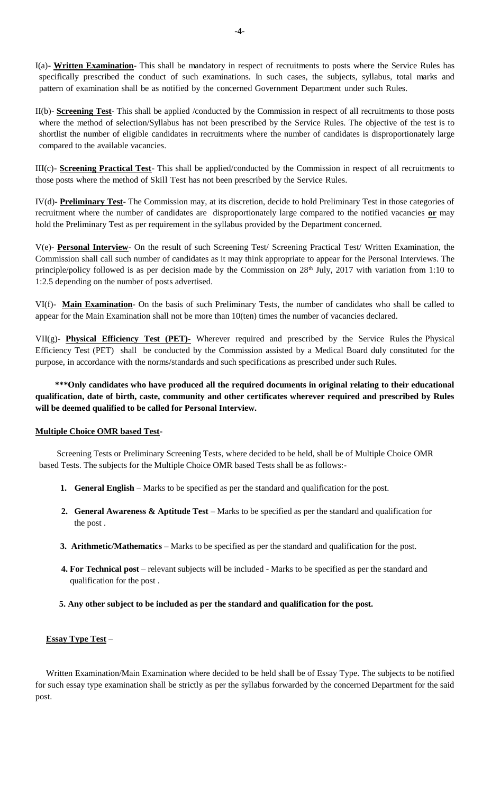I(a)- **Written Examination**- This shall be mandatory in respect of recruitments to posts where the Service Rules has specifically prescribed the conduct of such examinations. In such cases, the subjects, syllabus, total marks and pattern of examination shall be as notified by the concerned Government Department under such Rules.

II(b)- **Screening Test**- This shall be applied /conducted by the Commission in respect of all recruitments to those posts where the method of selection/Syllabus has not been prescribed by the Service Rules. The objective of the test is to shortlist the number of eligible candidates in recruitments where the number of candidates is disproportionately large compared to the available vacancies.

III(c)- **Screening Practical Test**- This shall be applied/conducted by the Commission in respect of all recruitments to those posts where the method of Skill Test has not been prescribed by the Service Rules.

IV(d)- **Preliminary Test**- The Commission may, at its discretion, decide to hold Preliminary Test in those categories of recruitment where the number of candidates are disproportionately large compared to the notified vacancies **or** may hold the Preliminary Test as per requirement in the syllabus provided by the Department concerned.

V(e)- **Personal Interview**- On the result of such Screening Test/ Screening Practical Test/ Written Examination, the Commission shall call such number of candidates as it may think appropriate to appear for the Personal Interviews. The principle/policy followed is as per decision made by the Commission on 28<sup>th</sup> July, 2017 with variation from 1:10 to 1:2.5 depending on the number of posts advertised.

VI(f)- **Main Examination**- On the basis of such Preliminary Tests, the number of candidates who shall be called to appear for the Main Examination shall not be more than 10(ten) times the number of vacancies declared.

VII(g)- **Physical Efficiency Test (PET)-** Wherever required and prescribed by the Service Rules the Physical Efficiency Test (PET) shall be conducted by the Commission assisted by a Medical Board duly constituted for the purpose, in accordance with the norms/standards and such specifications as prescribed under such Rules.

 **\*\*\*Only candidates who have produced all the required documents in original relating to their educational qualification, date of birth, caste, community and other certificates wherever required and prescribed by Rules will be deemed qualified to be called for Personal Interview.**

## **Multiple Choice OMR based Test-**

Screening Tests or Preliminary Screening Tests, where decided to be held, shall be of Multiple Choice OMR based Tests. The subjects for the Multiple Choice OMR based Tests shall be as follows:-

- **1. General English** Marks to be specified as per the standard and qualification for the post.
- **2. General Awareness & Aptitude Test** Marks to be specified as per the standard and qualification for the post .
- **3. Arithmetic/Mathematics** Marks to be specified as per the standard and qualification for the post.
- **4. For Technical post** relevant subjects will be included Marks to be specified as per the standard and qualification for the post .
- **5. Any other subject to be included as per the standard and qualification for the post.**

## **Essay Type Test** –

Written Examination/Main Examination where decided to be held shall be of Essay Type. The subjects to be notified for such essay type examination shall be strictly as per the syllabus forwarded by the concerned Department for the said post.